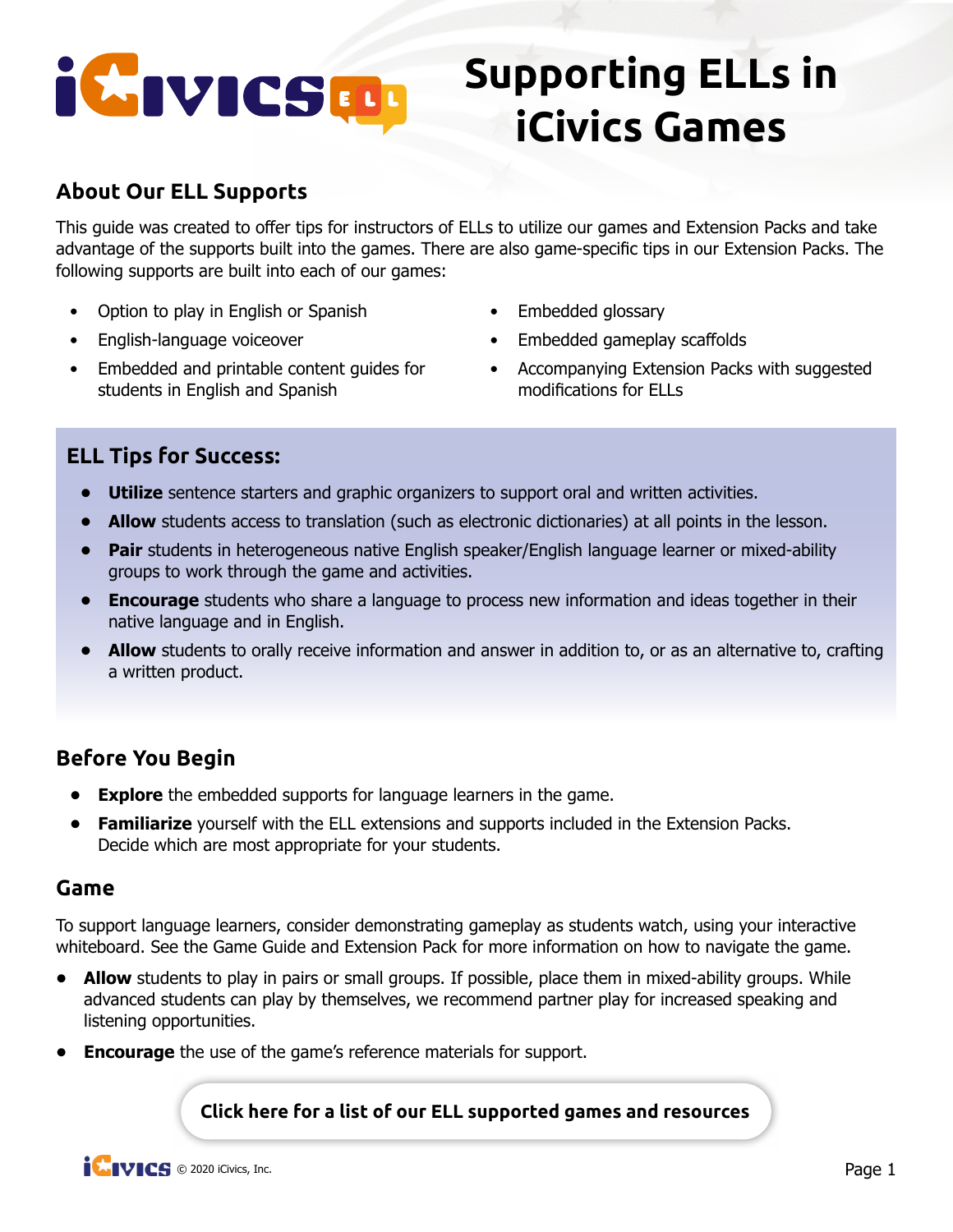# iCIVICSED.

## **Supporting ELLs in iCivics Games**

### **About Our ELL Supports**

This guide was created to offer tips for instructors of ELLs to utilize our games and Extension Packs and take advantage of the supports built into the games. There are also game-specific tips in our Extension Packs. The following supports are built into each of our games:

- Option to play in English or Spanish
- English-language voiceover
- Embedded and printable content guides for students in English and Spanish
- Embedded glossary
- Embedded gameplay scaffolds
- Accompanying Extension Packs with suggested modifications for ELLs

#### **ELL Tips for Success:**

- **• Utilize** sentence starters and graphic organizers to support oral and written activities.
- **Allow** students access to translation (such as electronic dictionaries) at all points in the lesson.
- **• Pair** students in heterogeneous native English speaker/English language learner or mixed-ability groups to work through the game and activities.
- **• Encourage** students who share a language to process new information and ideas together in their native language and in English.
- **Allow** students to orally receive information and answer in addition to, or as an alternative to, crafting a written product.

#### **Before You Begin**

- **• Explore** the embedded supports for language learners in the game.
- **• Familiarize** yourself with the ELL extensions and supports included in the Extension Packs. Decide which are most appropriate for your students.

#### **Game**

To support language learners, consider demonstrating gameplay as students watch, using your interactive whiteboard. See the Game Guide and Extension Pack for more information on how to navigate the game.

- **• Allow** students to play in pairs or small groups. If possible, place them in mixed-ability groups. While advanced students can play by themselves, we recommend partner play for increased speaking and listening opportunities.
- **• Encourage** the use of the game's reference materials for support.

**[Click here for a list of our ELL supported games and resources](https://www.icivics.org/search-results?keywords=ELL)**